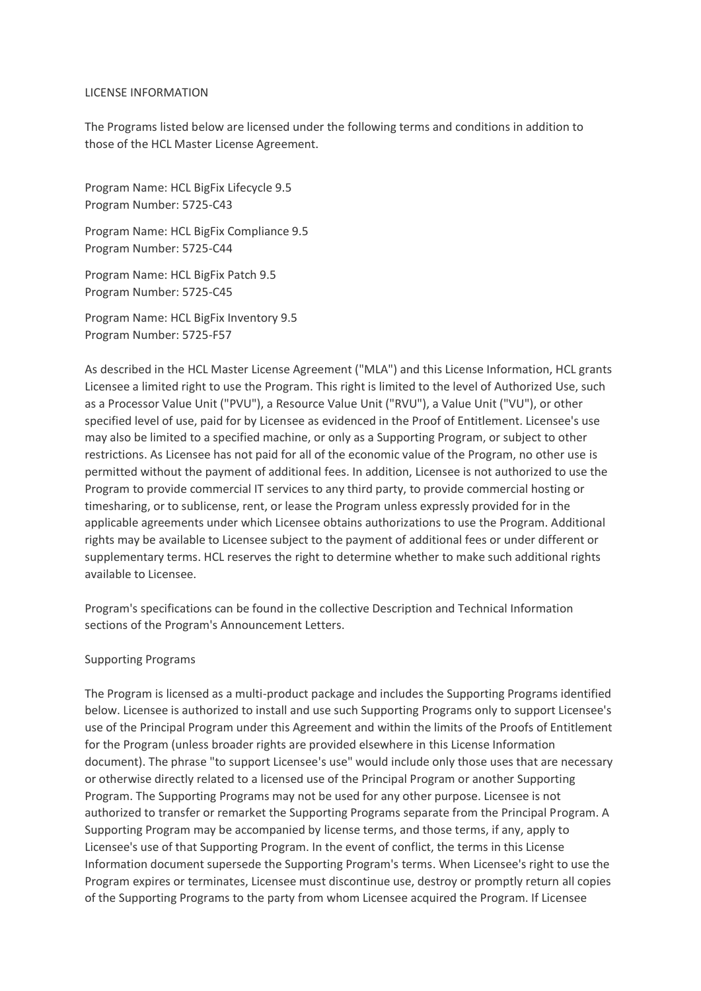#### LICENSE INFORMATION

The Programs listed below are licensed under the following terms and conditions in addition to those of the HCL Master License Agreement.

Program Name: HCL BigFix Lifecycle 9.5 Program Number: 5725-C43

Program Name: HCL BigFix Compliance 9.5 Program Number: 5725-C44

Program Name: HCL BigFix Patch 9.5 Program Number: 5725-C45

Program Name: HCL BigFix Inventory 9.5 Program Number: 5725-F57

As described in the HCL Master License Agreement ("MLA") and this License Information, HCL grants Licensee a limited right to use the Program. This right is limited to the level of Authorized Use, such as a Processor Value Unit ("PVU"), a Resource Value Unit ("RVU"), a Value Unit ("VU"), or other specified level of use, paid for by Licensee as evidenced in the Proof of Entitlement. Licensee's use may also be limited to a specified machine, or only as a Supporting Program, or subject to other restrictions. As Licensee has not paid for all of the economic value of the Program, no other use is permitted without the payment of additional fees. In addition, Licensee is not authorized to use the Program to provide commercial IT services to any third party, to provide commercial hosting or timesharing, or to sublicense, rent, or lease the Program unless expressly provided for in the applicable agreements under which Licensee obtains authorizations to use the Program. Additional rights may be available to Licensee subject to the payment of additional fees or under different or supplementary terms. HCL reserves the right to determine whether to make such additional rights available to Licensee.

Program's specifications can be found in the collective Description and Technical Information sections of the Program's Announcement Letters.

### Supporting Programs

The Program is licensed as a multi-product package and includes the Supporting Programs identified below. Licensee is authorized to install and use such Supporting Programs only to support Licensee's use of the Principal Program under this Agreement and within the limits of the Proofs of Entitlement for the Program (unless broader rights are provided elsewhere in this License Information document). The phrase "to support Licensee's use" would include only those uses that are necessary or otherwise directly related to a licensed use of the Principal Program or another Supporting Program. The Supporting Programs may not be used for any other purpose. Licensee is not authorized to transfer or remarket the Supporting Programs separate from the Principal Program. A Supporting Program may be accompanied by license terms, and those terms, if any, apply to Licensee's use of that Supporting Program. In the event of conflict, the terms in this License Information document supersede the Supporting Program's terms. When Licensee's right to use the Program expires or terminates, Licensee must discontinue use, destroy or promptly return all copies of the Supporting Programs to the party from whom Licensee acquired the Program. If Licensee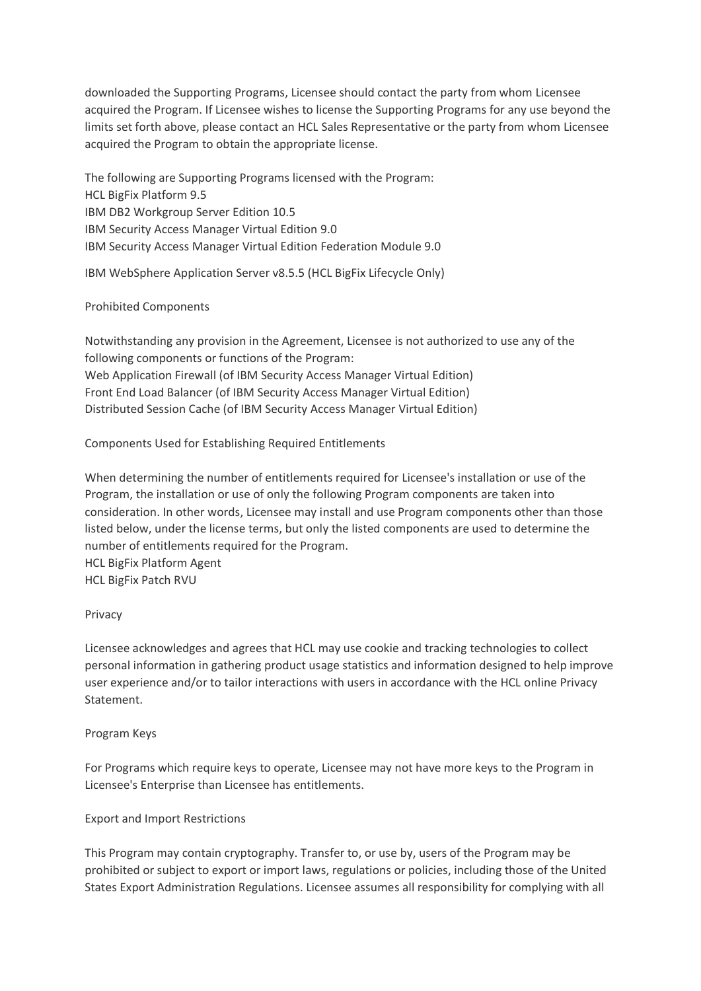downloaded the Supporting Programs, Licensee should contact the party from whom Licensee acquired the Program. If Licensee wishes to license the Supporting Programs for any use beyond the limits set forth above, please contact an HCL Sales Representative or the party from whom Licensee acquired the Program to obtain the appropriate license.

The following are Supporting Programs licensed with the Program: HCL BigFix Platform 9.5 IBM DB2 Workgroup Server Edition 10.5 IBM Security Access Manager Virtual Edition 9.0 IBM Security Access Manager Virtual Edition Federation Module 9.0

IBM WebSphere Application Server v8.5.5 (HCL BigFix Lifecycle Only)

# Prohibited Components

Notwithstanding any provision in the Agreement, Licensee is not authorized to use any of the following components or functions of the Program: Web Application Firewall (of IBM Security Access Manager Virtual Edition) Front End Load Balancer (of IBM Security Access Manager Virtual Edition) Distributed Session Cache (of IBM Security Access Manager Virtual Edition)

# Components Used for Establishing Required Entitlements

When determining the number of entitlements required for Licensee's installation or use of the Program, the installation or use of only the following Program components are taken into consideration. In other words, Licensee may install and use Program components other than those listed below, under the license terms, but only the listed components are used to determine the number of entitlements required for the Program.

HCL BigFix Platform Agent HCL BigFix Patch RVU

### Privacy

Licensee acknowledges and agrees that HCL may use cookie and tracking technologies to collect personal information in gathering product usage statistics and information designed to help improve user experience and/or to tailor interactions with users in accordance with the HCL online Privacy Statement.

### Program Keys

For Programs which require keys to operate, Licensee may not have more keys to the Program in Licensee's Enterprise than Licensee has entitlements.

### Export and Import Restrictions

This Program may contain cryptography. Transfer to, or use by, users of the Program may be prohibited or subject to export or import laws, regulations or policies, including those of the United States Export Administration Regulations. Licensee assumes all responsibility for complying with all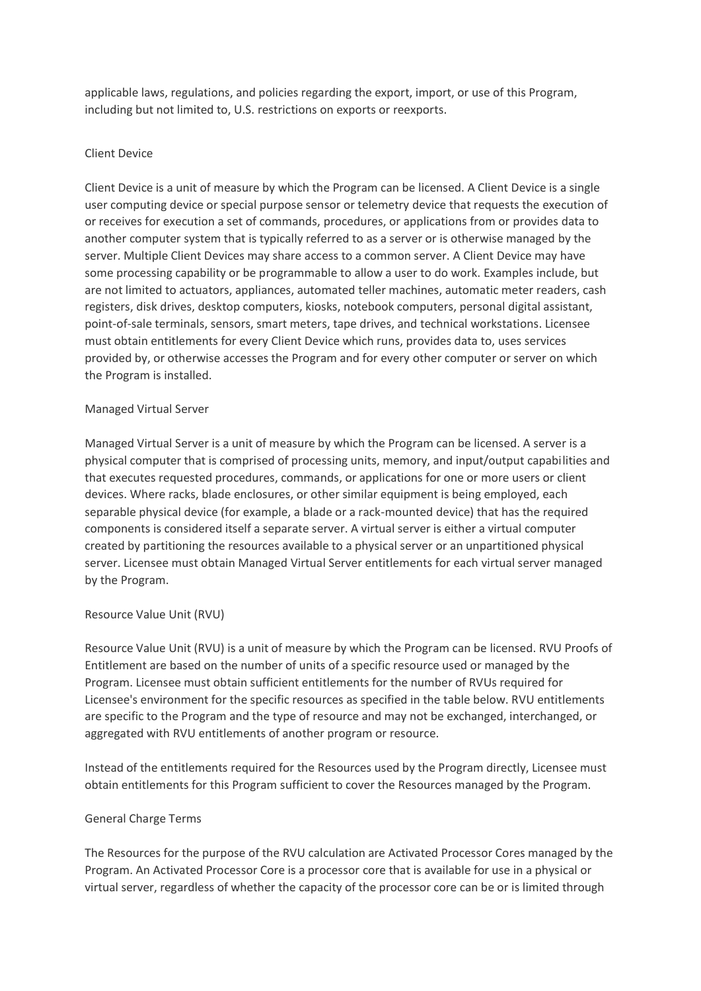applicable laws, regulations, and policies regarding the export, import, or use of this Program, including but not limited to, U.S. restrictions on exports or reexports.

# Client Device

Client Device is a unit of measure by which the Program can be licensed. A Client Device is a single user computing device or special purpose sensor or telemetry device that requests the execution of or receives for execution a set of commands, procedures, or applications from or provides data to another computer system that is typically referred to as a server or is otherwise managed by the server. Multiple Client Devices may share access to a common server. A Client Device may have some processing capability or be programmable to allow a user to do work. Examples include, but are not limited to actuators, appliances, automated teller machines, automatic meter readers, cash registers, disk drives, desktop computers, kiosks, notebook computers, personal digital assistant, point-of-sale terminals, sensors, smart meters, tape drives, and technical workstations. Licensee must obtain entitlements for every Client Device which runs, provides data to, uses services provided by, or otherwise accesses the Program and for every other computer or server on which the Program is installed.

# Managed Virtual Server

Managed Virtual Server is a unit of measure by which the Program can be licensed. A server is a physical computer that is comprised of processing units, memory, and input/output capabilities and that executes requested procedures, commands, or applications for one or more users or client devices. Where racks, blade enclosures, or other similar equipment is being employed, each separable physical device (for example, a blade or a rack-mounted device) that has the required components is considered itself a separate server. A virtual server is either a virtual computer created by partitioning the resources available to a physical server or an unpartitioned physical server. Licensee must obtain Managed Virtual Server entitlements for each virtual server managed by the Program.

### Resource Value Unit (RVU)

Resource Value Unit (RVU) is a unit of measure by which the Program can be licensed. RVU Proofs of Entitlement are based on the number of units of a specific resource used or managed by the Program. Licensee must obtain sufficient entitlements for the number of RVUs required for Licensee's environment for the specific resources as specified in the table below. RVU entitlements are specific to the Program and the type of resource and may not be exchanged, interchanged, or aggregated with RVU entitlements of another program or resource.

Instead of the entitlements required for the Resources used by the Program directly, Licensee must obtain entitlements for this Program sufficient to cover the Resources managed by the Program.

### General Charge Terms

The Resources for the purpose of the RVU calculation are Activated Processor Cores managed by the Program. An Activated Processor Core is a processor core that is available for use in a physical or virtual server, regardless of whether the capacity of the processor core can be or is limited through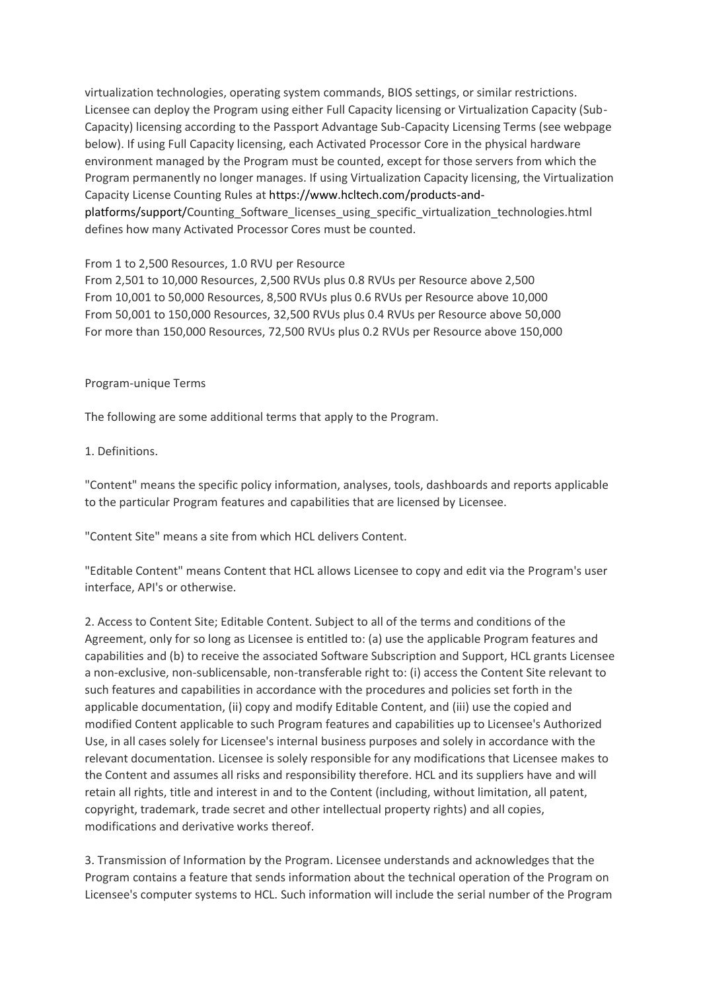virtualization technologies, operating system commands, BIOS settings, or similar restrictions. Licensee can deploy the Program using either Full Capacity licensing or Virtualization Capacity (Sub-Capacity) licensing according to the Passport Advantage Sub-Capacity Licensing Terms (see webpage below). If using Full Capacity licensing, each Activated Processor Core in the physical hardware environment managed by the Program must be counted, except for those servers from which the Program permanently no longer manages. If using Virtualization Capacity licensing, the Virtualization Capacity License Counting Rules at https://www.hcltech.com/products-andplatforms/support/Counting\_Software\_licenses\_using\_specific\_virtualization\_technologies.html defines how many Activated Processor Cores must be counted.

# From 1 to 2,500 Resources, 1.0 RVU per Resource

From 2,501 to 10,000 Resources, 2,500 RVUs plus 0.8 RVUs per Resource above 2,500 From 10,001 to 50,000 Resources, 8,500 RVUs plus 0.6 RVUs per Resource above 10,000 From 50,001 to 150,000 Resources, 32,500 RVUs plus 0.4 RVUs per Resource above 50,000 For more than 150,000 Resources, 72,500 RVUs plus 0.2 RVUs per Resource above 150,000

### Program-unique Terms

The following are some additional terms that apply to the Program.

# 1. Definitions.

"Content" means the specific policy information, analyses, tools, dashboards and reports applicable to the particular Program features and capabilities that are licensed by Licensee.

"Content Site" means a site from which HCL delivers Content.

"Editable Content" means Content that HCL allows Licensee to copy and edit via the Program's user interface, API's or otherwise.

2. Access to Content Site; Editable Content. Subject to all of the terms and conditions of the Agreement, only for so long as Licensee is entitled to: (a) use the applicable Program features and capabilities and (b) to receive the associated Software Subscription and Support, HCL grants Licensee a non-exclusive, non-sublicensable, non-transferable right to: (i) access the Content Site relevant to such features and capabilities in accordance with the procedures and policies set forth in the applicable documentation, (ii) copy and modify Editable Content, and (iii) use the copied and modified Content applicable to such Program features and capabilities up to Licensee's Authorized Use, in all cases solely for Licensee's internal business purposes and solely in accordance with the relevant documentation. Licensee is solely responsible for any modifications that Licensee makes to the Content and assumes all risks and responsibility therefore. HCL and its suppliers have and will retain all rights, title and interest in and to the Content (including, without limitation, all patent, copyright, trademark, trade secret and other intellectual property rights) and all copies, modifications and derivative works thereof.

3. Transmission of Information by the Program. Licensee understands and acknowledges that the Program contains a feature that sends information about the technical operation of the Program on Licensee's computer systems to HCL. Such information will include the serial number of the Program